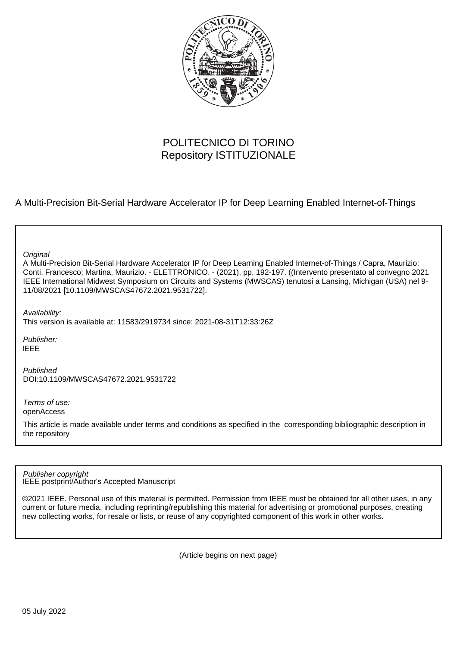

# POLITECNICO DI TORINO Repository ISTITUZIONALE

A Multi-Precision Bit-Serial Hardware Accelerator IP for Deep Learning Enabled Internet-of-Things

**Original** 

A Multi-Precision Bit-Serial Hardware Accelerator IP for Deep Learning Enabled Internet-of-Things / Capra, Maurizio; Conti, Francesco; Martina, Maurizio. - ELETTRONICO. - (2021), pp. 192-197. ((Intervento presentato al convegno 2021 IEEE International Midwest Symposium on Circuits and Systems (MWSCAS) tenutosi a Lansing, Michigan (USA) nel 9- 11/08/2021 [10.1109/MWSCAS47672.2021.9531722].

Availability:

This version is available at: 11583/2919734 since: 2021-08-31T12:33:26Z

Publisher: IEEE

Published DOI:10.1109/MWSCAS47672.2021.9531722

Terms of use: openAccess

This article is made available under terms and conditions as specified in the corresponding bibliographic description in the repository

IEEE postprint/Author's Accepted Manuscript Publisher copyright

©2021 IEEE. Personal use of this material is permitted. Permission from IEEE must be obtained for all other uses, in any current or future media, including reprinting/republishing this material for advertising or promotional purposes, creating new collecting works, for resale or lists, or reuse of any copyrighted component of this work in other works.

(Article begins on next page)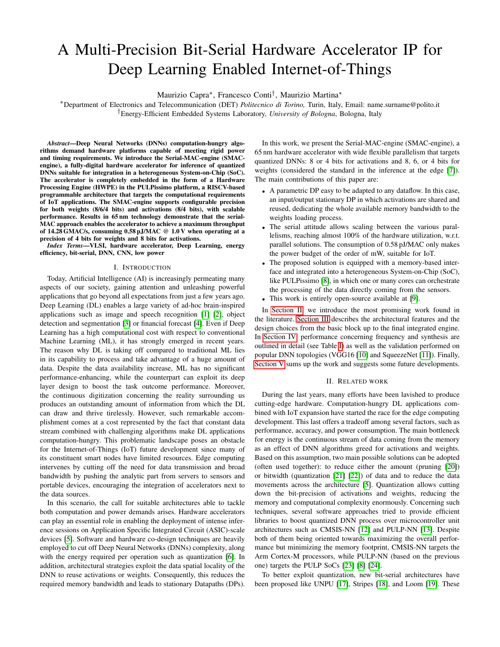# A Multi-Precision Bit-Serial Hardware Accelerator IP for Deep Learning Enabled Internet-of-Things

Maurizio Capra<sup>∗</sup> , Francesco Conti† , Maurizio Martina<sup>∗</sup>

<sup>∗</sup>Department of Electronics and Telecommunication (DET) *Politecnico di Torino,* Turin, Italy, Email: name.surname@polito.it †Energy-Efficient Embedded Systems Laboratory, *University of Bologna*, Bologna, Italy

*Abstract*—Deep Neural Networks (DNNs) computation-hungry algorithms demand hardware platforms capable of meeting rigid power and timing requirements. We introduce the Serial-MAC-engine (SMACengine), a fully-digital hardware accelerator for inference of quantized DNNs suitable for integration in a heterogeneous System-on-Chip (SoC). The accelerator is completely embedded in the form of a Hardware Processing Engine (HWPE) in the PULPissimo platform, a RISCV-based programmable architecture that targets the computational requirements of IoT applications. The SMAC-engine supports configurable precision for both weights (8/6/4 bits) and activations (8/4 bits), with scalable performance. Results in 65 nm technology demonstrate that the serial-MAC approach enables the accelerator to achieve a maximum throughput of 14.28 GMAC/s, consuming  $0.58$  pJ/MAC @ 1.0 V when operating at a precision of 4 bits for weights and 8 bits for activations.

*Index Terms*—VLSI, hardware accelerator, Deep Learning, energy efficiency, bit-serial, DNN, CNN, low power

## I. INTRODUCTION

Today, Artificial Intelligence (AI) is increasingly permeating many aspects of our society, gaining attention and unleashing powerful applications that go beyond all expectations from just a few years ago. Deep Learning (DL) enables a large variety of ad-hoc brain-inspired applications such as image and speech recognition [1] [2], object detection and segmentation [3] or financial forecast [4]. Even if Deep Learning has a high computational cost with respect to conventional Machine Learning (ML), it has strongly emerged in recent years. The reason why DL is taking off compared to traditional ML lies in its capability to process and take advantage of a huge amount of data. Despite the data availability increase, ML has no significant performance-enhancing, while the counterpart can exploit its deep layer design to boost the task outcome performance. Moreover, the continuous digitization concerning the reality surrounding us produces an outstanding amount of information from which the DL can draw and thrive tirelessly. However, such remarkable accomplishment comes at a cost represented by the fact that constant data stream combined with challenging algorithms make DL applications computation-hungry. This problematic landscape poses an obstacle for the Internet-of-Things (IoT) future development since many of its constituent smart nodes have limited resources. Edge computing intervenes by cutting off the need for data transmission and broad bandwidth by pushing the analytic part from servers to sensors and portable devices, encouraging the integration of accelerators next to the data sources.

In this scenario, the call for suitable architectures able to tackle both computation and power demands arises. Hardware accelerators can play an essential role in enabling the deployment of intense inference sessions on Application Specific Integrated Circuit (ASIC)-scale devices [5]. Software and hardware co-design techniques are heavily employed to cut off Deep Neural Networks (DNNs) complexity, along with the energy required per operation such as quantization [6]. In addition, architectural strategies exploit the data spatial locality of the DNN to reuse activations or weights. Consequently, this reduces the required memory bandwidth and leads to stationary Datapaths (DPs).

In this work, we present the Serial-MAC-engine (SMAC-engine), a 65 nm hardware accelerator with wide flexible parallelism that targets quantized DNNs: 8 or 4 bits for activations and 8, 6, or 4 bits for weights (considered the standard in the inference at the edge [7]). The main contributions of this paper are:

- A parametric DP easy to be adapted to any dataflow. In this case, an input/output stationary DP in which activations are shared and reused, dedicating the whole available memory bandwidth to the weights loading process.
- The serial attitude allows scaling between the various parallelisms, reaching almost 100% of the hardware utilization, w.r.t. parallel solutions. The consumption of 0.58 pJ/MAC only makes the power budget of the order of mW, suitable for IoT.
- The proposed solution is equipped with a memory-based interface and integrated into a heterogeneous System-on-Chip (SoC), like PULPissimo [8], in which one or many cores can orchestrate the processing of the data directly coming from the sensors.
- This work is entirely open-source available at [9].

In Section II, we introduce the most promising work found in the literature. Section III describes the architectural features and the design choices from the basic block up to the final integrated engine. In Section IV, performance concerning frequency and synthesis are outlined in detail (see Table I) as well as the validation performed on popular DNN topologies (VGG16 [10] and SqueezeNet [11]). Finally, Section V sums up the work and suggests some future developments.

#### II. RELATED WORK

During the last years, many efforts have been lavished to produce cutting-edge hardware. Computation-hungry DL applications combined with IoT expansion have started the race for the edge computing development. This last offers a tradeoff among several factors, such as performance, accuracy, and power consumption. The main bottleneck for energy is the continuous stream of data coming from the memory as an effect of DNN algorithms greed for activations and weights. Based on this assumption, two main possible solutions can be adopted (often used together): to reduce either the amount (pruning [20]) or bitwidth (quantization [21] [22]) of data and to reduce the data movements across the architecture [5]. Quantization allows cutting down the bit-precision of activations and weights, reducing the memory and computational complexity enormously. Concerning such techniques, several software approaches tried to provide efficient libraries to boost quantized DNN process over microcontroller unit architectures such as CMSIS-NN [12] and PULP-NN [13]. Despite both of them being oriented towards maximizing the overall performance but minimizing the memory footprint, CMSIS-NN targets the Arm Cortex-M processors, while PULP-NN (based on the previous one) targets the PULP SoCs [23] [8] [24].

To better exploit quantization, new bit-serial architectures have been proposed like UNPU [17], Stripes [18], and Loom [19]. These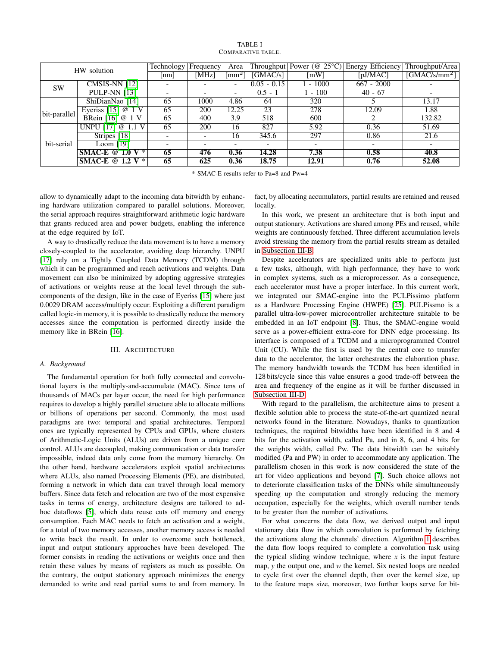| HW solution  |                     | Technology               | Frequency                | Area                        | Throughput               | Power ( $@ 25°C$ ) | Energy Efficiency        | Throughput/Area             |
|--------------|---------------------|--------------------------|--------------------------|-----------------------------|--------------------------|--------------------|--------------------------|-----------------------------|
|              |                     | [nm]                     | [MHz]                    | $\lceil \text{mm}^2 \rceil$ | [GMAC/s]                 | [mW]               | [pJ/MAC]                 | $\sqrt{\text{GMAC/s/mm}^2}$ |
| <b>SW</b>    | CMSIS-NN $[12]$     |                          |                          | -                           | $0.05 - 0.15$            | $-1000$            | $667 - 2000$             |                             |
|              | <b>PULP-NN [13]</b> |                          |                          | $\qquad \qquad$             | $0.5 - 1$                | $-100$             | $40 - 67$                |                             |
|              | ShiDianNao [14]     | 65                       | 1000                     | 4.86                        | 64                       | 320                |                          | 13.17                       |
| bit-parallel | Everiss $[15]$ @    | 65                       | 200                      | 12.25                       | 23                       | 278                | 12.09                    | 1.88                        |
|              | BRein [16] $@$ 1 V  | 65                       | 400                      | 3.9                         | 518                      | 600                |                          | 132.82                      |
|              | UNPU [17] @         | 65                       | <b>200</b>               | 16                          | 827                      | 5.92               | 0.36                     | 51.69                       |
| bit-serial   | Stripes [18]        |                          | $\overline{\phantom{a}}$ | 16                          | 345.6                    | 297                | 0.86                     | 21.6                        |
|              | Loom $[19]$         | $\overline{\phantom{a}}$ | $\overline{\phantom{0}}$ | $\overline{\phantom{0}}$    | $\overline{\phantom{0}}$ | -                  | $\overline{\phantom{a}}$ |                             |
|              | SMAC-E @ 1.0 V $*$  | 65                       | 476                      | 0.36                        | 14.28                    | 7.38               | 0.58                     | 40.8                        |
|              | SMAC-E @ 1.2 V $*$  | 65                       | 625                      | 0.36                        | 18.75                    | 12.91              | 0.76                     | 52.08                       |

#### TABLE I COMPARATIVE TABLE.

\* SMAC-E results refer to Pa=8 and Pw=4

allow to dynamically adapt to the incoming data bitwidth by enhancing hardware utilization compared to parallel solutions. Moreover, the serial approach requires straightforward arithmetic logic hardware that grants reduced area and power budgets, enabling the inference at the edge required by IoT.

A way to drastically reduce the data movement is to have a memory closely-coupled to the accelerator, avoiding deep hierarchy. UNPU [17] rely on a Tightly Coupled Data Memory (TCDM) through which it can be programmed and reach activations and weights. Data movement can also be minimized by adopting aggressive strategies of activations or weights reuse at the local level through the subcomponents of the design, like in the case of Eyeriss [15] where just 0.0029 DRAM access/multiply occur. Exploiting a different paradigm called logic-in memory, it is possible to drastically reduce the memory accesses since the computation is performed directly inside the memory like in BRein [16].

# III. ARCHITECTURE

## *A. Background*

The fundamental operation for both fully connected and convolutional layers is the multiply-and-accumulate (MAC). Since tens of thousands of MACs per layer occur, the need for high performance requires to develop a highly parallel structure able to allocate millions or billions of operations per second. Commonly, the most used paradigms are two: temporal and spatial architectures. Temporal ones are typically represented by CPUs and GPUs, where clusters of Arithmetic-Logic Units (ALUs) are driven from a unique core control. ALUs are decoupled, making communication or data transfer impossible, indeed data only come from the memory hierarchy. On the other hand, hardware accelerators exploit spatial architectures where ALUs, also named Processing Elements (PE), are distributed, forming a network in which data can travel through local memory buffers. Since data fetch and relocation are two of the most expensive tasks in terms of energy, architecture designs are tailored to adhoc dataflows [5], which data reuse cuts off memory and energy consumption. Each MAC needs to fetch an activation and a weight, for a total of two memory accesses, another memory access is needed to write back the result. In order to overcome such bottleneck, input and output stationary approaches have been developed. The former consists in reading the activations or weights once and then retain these values by means of registers as much as possible. On the contrary, the output stationary approach minimizes the energy demanded to write and read partial sums to and from memory. In

fact, by allocating accumulators, partial results are retained and reused locally.

In this work, we present an architecture that is both input and output stationary. Activations are shared among PEs and reused, while weights are continuously fetched. Three different accumulation levels avoid stressing the memory from the partial results stream as detailed in Subsection III-B.

Despite accelerators are specialized units able to perform just a few tasks, although, with high performance, they have to work in complex systems, such as a microprocessor. As a consequence, each accelerator must have a proper interface. In this current work, we integrated our SMAC-engine into the PULPissimo platform as a Hardware Processing Engine (HWPE) [25]. PULPissmo is a parallel ultra-low-power microcontroller architecture suitable to be embedded in an IoT endpoint [8]. Thus, the SMAC-engine would serve as a power-efficient extra-core for DNN edge processing. Its interface is composed of a TCDM and a microprogrammed Control Unit (CU). While the first is used by the central core to transfer data to the accelerator, the latter orchestrates the elaboration phase. The memory bandwidth towards the TCDM has been identified in 128 bits/cycle since this value ensures a good trade-off between the area and frequency of the engine as it will be further discussed in Subsection III-D.

With regard to the parallelism, the architecture aims to present a flexible solution able to process the state-of-the-art quantized neural networks found in the literature. Nowadays, thanks to quantization techniques, the required bitwidths have been identified in 8 and 4 bits for the activation width, called Pa, and in 8, 6, and 4 bits for the weights width, called Pw. The data bitwidth can be suitably modified (Pa and PW) in order to accommodate any application. The parallelism chosen in this work is now considered the state of the art for video applications and beyond [7]. Such choice allows not to deteriorate classification tasks of the DNNs while simultaneously speeding up the computation and strongly reducing the memory occupation, especially for the weights, which overall number tends to be greater than the number of activations.

For what concerns the data flow, we derived output and input stationary data flow in which convolution is performed by fetching the activations along the channels' direction. Algorithm 1 describes the data flow loops required to complete a convolution task using the typical sliding window technique, where  $x$  is the input feature map, *y* the output one, and *w* the kernel. Six nested loops are needed to cycle first over the channel depth, then over the kernel size, up to the feature maps size, moreover, two further loops serve for bit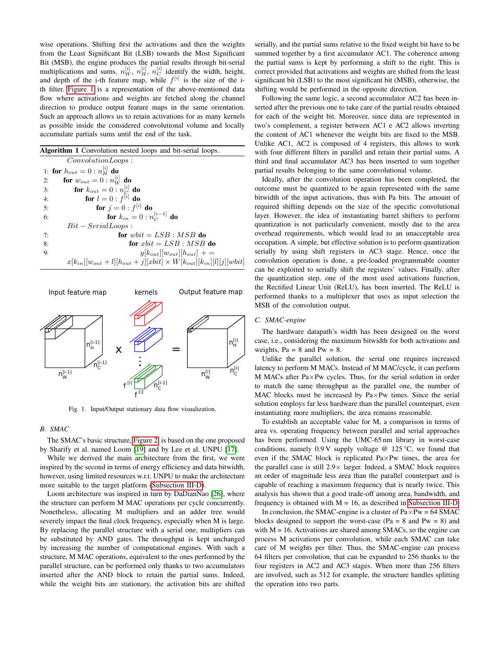wise operations. Shifting first the activations and then the weights from the Least Significant Bit (LSB) towards the Most Significant Bit (MSB), the engine produces the partial results through bit-serial multiplications and sums.  $n_W^{[i]}$ ,  $n_H^{[i]}$ ,  $n_C^{[i]}$  identify the width, height, and depth of the i-th feature map, while  $f^{[i]}$  is the size of the ith filter. Figure 1 is a representation of the above-mentioned data flow where activations and weights are fetched along the channel direction to produce output feature maps in the same orientation. Such an approach allows us to retain activations for as many kernels as possible inside the considered convolutional volume and locally accumulate partials sums until the end of the task.

|  |  | Algorithm 1 Convolution nested loops and bit-serial loops. |  |  |  |  |  |
|--|--|------------------------------------------------------------|--|--|--|--|--|
|--|--|------------------------------------------------------------|--|--|--|--|--|

| ConvolutionLoops:                                                                              |  |
|------------------------------------------------------------------------------------------------|--|
| 1: for $h_{out} = 0 : n_H^{[i]}$ do                                                            |  |
| <b>for</b> $w_{out} = 0 : n_{W}^{[i]}$ <b>do</b><br>2:                                         |  |
| <b>for</b> $k_{out} = 0 : n_C^{[i]}$ <b>do</b><br><b>for</b> $l = 0 : f^{[i]}$ <b>do</b><br>3: |  |
| 4:                                                                                             |  |
| <b>for</b> $j = 0 : f^{[i]}$ <b>do</b><br>5:                                                   |  |
| for $k_{in} = 0 : n_C^{[i-1]}$ do<br>6:                                                        |  |
| $Bit - SerialLoops:$                                                                           |  |
| for whit $= LSB$ : MSB do<br>7:                                                                |  |
| for $xbit = LSB : MSB$ do<br>8:                                                                |  |
| $y[k_{out}][w_{out}][h_{out}]$ + =<br>9:                                                       |  |
| $x[k_{in}][w_{out} + l][h_{out} + j][xbit] \times W[k_{out}][k_{in}][l][j][wbit]$              |  |



Fig. 1. Input/Output stationary data flow visualization.

#### *B. SMAC*

The SMAC's basic structure, Figure 2, is based on the one proposed by Sharify et al. named Loom [19] and by Lee et al. UNPU [17].

While we derived the main architecture from the first, we were inspired by the second in terms of energy efficiency and data bitwidth, however, using limited resources w.r.t. UNPU to make the architecture more suitable to the target platform (Subsection III-D).

Loom architecture was inspired in turn by DaDianNao [26], where the structure can perform M MAC operations per cycle concurrently. Nonetheless, allocating M multipliers and an adder tree would severely impact the final clock frequency, especially when M is large. By replacing the parallel structure with a serial one, multipliers can be substituted by AND gates. The throughput is kept unchanged by increasing the number of computational engines. With such a structure, M MAC operations, equivalent to the ones performed by the parallel structure, can be performed only thanks to two accumulators inserted after the AND block to retain the partial sums. Indeed, while the weight bits are stationary, the activation bits are shifted

serially, and the partial sums relative to the fixed weight bit have to be summed together by a first accumulator AC1. The coherence among the partial sums is kept by performing a shift to the right. This is correct provided that activations and weights are shifted from the least significant bit (LSB) to the most significant bit (MSB), otherwise, the shifting would be performed in the opposite direction.

Following the same logic, a second accumulator AC2 has been inserted after the previous one to take care of the partial results obtained for each of the weight bit. Moreover, since data are represented in two's complement, a register between AC1 e AC2 allows inverting the content of AC1 whenever the weight bits are fixed to the MSB. Unlike AC1, AC2 is composed of 4 registers, this allows to work with four different filters in parallel and retain their partial sums. A third and final accumulator AC3 has been inserted to sum together partial results belonging to the same convolutional volume.

Ideally, after the convolution operation has been completed, the outcome must be quantized to be again represented with the same bitwidth of the input activations, thus with Pa bits. The amount of required shifting depends on the size of the specific convolutional layer. However, the idea of instantiating barrel shifters to perform quantization is not particularly convenient, mostly due to the area overhead requirements, which would lead to an unacceptable area occupation. A simple, but effective solution is to perform quantization serially by using shift registers in AC3 stage. Hence, once the convolution operation is done, a pre-loaded programmable counter can be exploited to serially shift the registers' values. Finally, after the quantization step, one of the most used activations function, the Rectified Linear Unit (ReLU), has been inserted. The ReLU is performed thanks to a multiplexer that uses as input selection the MSB of the convolution output.

# *C. SMAC-engine*

The hardware datapath's width has been designed on the worst case, i.e., considering the maximum bitwidth for both activations and weights,  $Pa = 8$  and  $Pw = 8$ .

Unlike the parallel solution, the serial one requires increased latency to perform M MACs. Instead of M MAC/cycle, it can perform M MACs after Pa×Pw cycles. Thus, for the serial solution in order to match the same throughput as the parallel one, the number of MAC blocks must be increased by Pa×Pw times. Since the serial solution employs far less hardware than the parallel counterpart, even instantiating more multipliers, the area remains reasonable.

To establish an acceptable value for M, a comparison in terms of area vs. operating frequency between parallel and serial approaches has been performed. Using the UMC-65 nm library in worst-case conditions, namely 0.9 V supply voltage @ 125 °C, we found that even if the SMAC block is replicated Pa×Pw times, the area for the parallel case is still 2.9× larger. Indeed, a SMAC block requires an order of magnitude less area than the parallel counterpart and is capable of reaching a maximum frequency that is nearly twice. This analysis has shown that a good trade-off among area, bandwidth, and frequency is obtained with  $M = 16$ , as described in Subsection III-D.

In conclusion, the SMAC-engine is a cluster of  $Pa \times Pw = 64$  SMAC blocks designed to support the worst-case ( $Pa = 8$  and  $Pw = 8$ ) and with  $M = 16$ . Activations are shared among SMACs, so the engine can process M activations per convolution, while each SMAC can take care of M weights per filter. Thus, the SMAC-engine can process 64 filters per convolution, that can be expanded to 256 thanks to the four registers in AC2 and AC3 stages. When more than 256 filters are involved, such as 512 for example, the structure handles splitting the operation into two parts.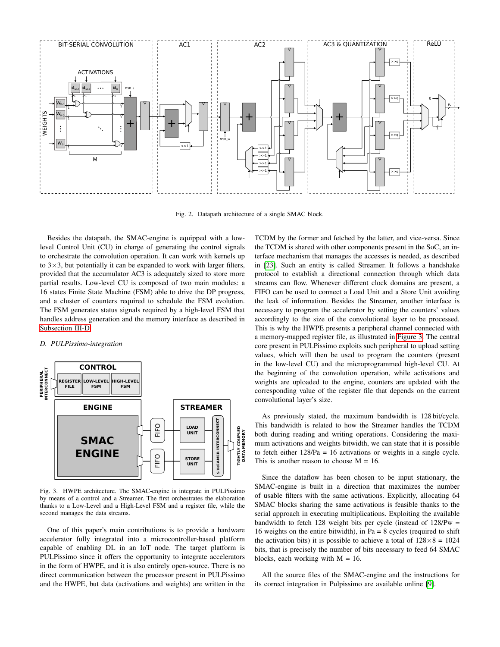

Fig. 2. Datapath architecture of a single SMAC block.

Besides the datapath, the SMAC-engine is equipped with a lowlevel Control Unit (CU) in charge of generating the control signals to orchestrate the convolution operation. It can work with kernels up to  $3\times3$ , but potentially it can be expanded to work with larger filters, provided that the accumulator AC3 is adequately sized to store more partial results. Low-level CU is composed of two main modules: a 16 states Finite State Machine (FSM) able to drive the DP progress, and a cluster of counters required to schedule the FSM evolution. The FSM generates status signals required by a high-level FSM that handles address generation and the memory interface as described in Subsection III-D.

#### *D. PULPissimo-integration*



Fig. 3. HWPE architecture. The SMAC-engine is integrate in PULPissimo by means of a control and a Streamer. The first orchestrates the elaboration thanks to a Low-Level and a High-Level FSM and a register file, while the second manages the data streams.

One of this paper's main contributions is to provide a hardware accelerator fully integrated into a microcontroller-based platform capable of enabling DL in an IoT node. The target platform is PULPissimo since it offers the opportunity to integrate accelerators in the form of HWPE, and it is also entirely open-source. There is no direct communication between the processor present in PULPissimo and the HWPE, but data (activations and weights) are written in the TCDM by the former and fetched by the latter, and vice-versa. Since the TCDM is shared with other components present in the SoC, an interface mechanism that manages the accesses is needed, as described in [23]. Such an entity is called Streamer. It follows a handshake protocol to establish a directional connection through which data streams can flow. Whenever different clock domains are present, a FIFO can be used to connect a Load Unit and a Store Unit avoiding the leak of information. Besides the Streamer, another interface is necessary to program the accelerator by setting the counters' values accordingly to the size of the convolutional layer to be processed. This is why the HWPE presents a peripheral channel connected with a memory-mapped register file, as illustrated in Figure 3. The central core present in PULPissimo exploits such peripheral to upload setting values, which will then be used to program the counters (present in the low-level CU) and the microprogrammed high-level CU. At the beginning of the convolution operation, while activations and weights are uploaded to the engine, counters are updated with the corresponding value of the register file that depends on the current convolutional layer's size.

As previously stated, the maximum bandwidth is 128 bit/cycle. This bandwidth is related to how the Streamer handles the TCDM both during reading and writing operations. Considering the maximum activations and weights bitwidth, we can state that it is possible to fetch either 128/Pa = 16 activations or weights in a single cycle. This is another reason to choose  $M = 16$ .

Since the dataflow has been chosen to be input stationary, the SMAC-engine is built in a direction that maximizes the number of usable filters with the same activations. Explicitly, allocating 64 SMAC blocks sharing the same activations is feasible thanks to the serial approach in executing multiplications. Exploiting the available bandwidth to fetch 128 weight bits per cycle (instead of 128/Pw = 16 weights on the entire bitwidth), in Pa =  $8$  cycles (required to shift the activation bits) it is possible to achieve a total of  $128 \times 8 = 1024$ bits, that is precisely the number of bits necessary to feed 64 SMAC blocks, each working with  $M = 16$ .

All the source files of the SMAC-engine and the instructions for its correct integration in Pulpissimo are available online [9].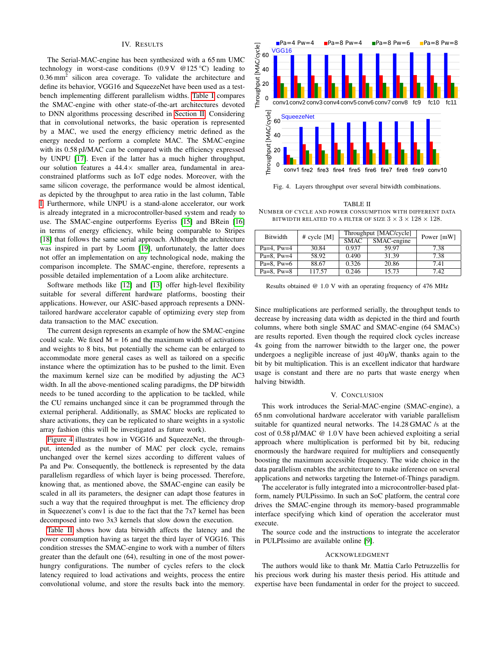# IV. RESULTS

The Serial-MAC-engine has been synthesized with a 65 nm UMC technology in worst-case conditions  $(0.9 \text{ V} \otimes 125 \text{ °C})$  leading to 0.36 mm<sup>2</sup> silicon area coverage. To validate the architecture and define its behavior, VGG16 and SqueezeNet have been used as a testbench implementing different parallelism widths. Table I compares the SMAC-engine with other state-of-the-art architectures devoted to DNN algorithms processing described in Section II. Considering that in convolutional networks, the basic operation is represented by a MAC, we used the energy efficiency metric defined as the energy needed to perform a complete MAC. The SMAC-engine with its 0.58 pJ/MAC can be compared with the efficiency expressed by UNPU [17]. Even if the latter has a much higher throughput, our solution features a  $44.4 \times$  smaller area, fundamental in areaconstrained platforms such as IoT edge nodes. Moreover, with the same silicon coverage, the performance would be almost identical, as depicted by the throughput to area ratio in the last column, Table I. Furthermore, while UNPU is a stand-alone accelerator, our work is already integrated in a microcontroller-based system and ready to use. The SMAC-engine outperforms Eyeriss [15] and BRein [16] in terms of energy efficiency, while being comparable to Stripes [18] that follows the same serial approach. Although the architecture was inspired in part by Loom [19], unfortunately, the latter does not offer an implementation on any technological node, making the comparison incomplete. The SMAC-engine, therefore, represents a possible detailed implementation of a Loom alike architecture.

Software methods like [12] and [13] offer high-level flexibility suitable for several different hardware platforms, boosting their applications. However, our ASIC-based approach represents a DNNtailored hardware accelerator capable of optimizing every step from data transaction to the MAC execution.

The current design represents an example of how the SMAC-engine could scale. We fixed  $M = 16$  and the maximum width of activations and weights to 8 bits, but potentially the scheme can be enlarged to accommodate more general cases as well as tailored on a specific instance where the optimization has to be pushed to the limit. Even the maximum kernel size can be modified by adjusting the AC3 width. In all the above-mentioned scaling paradigms, the DP bitwidth needs to be tuned according to the application to be tackled, while the CU remains unchanged since it can be programmed through the external peripheral. Additionally, as SMAC blocks are replicated to share activations, they can be replicated to share weights in a systolic array fashion (this will be investigated as future work).

Figure 4 illustrates how in VGG16 and SqueezeNet, the throughput, intended as the number of MAC per clock cycle, remains unchanged over the kernel sizes according to different values of Pa and Pw. Consequently, the bottleneck is represented by the data parallelism regardless of which layer is being processed. Therefore, knowing that, as mentioned above, the SMAC-engine can easily be scaled in all its parameters, the designer can adapt those features in such a way that the required throughput is met. The efficiency drop in Squeezenet's conv1 is due to the fact that the 7x7 kernel has been decomposed into two 3x3 kernels that slow down the execution.

Table II shows how data bitwidth affects the latency and the power consumption having as target the third layer of VGG16. This condition stresses the SMAC-engine to work with a number of filters greater than the default one (64), resulting in one of the most powerhungry configurations. The number of cycles refers to the clock latency required to load activations and weights, process the entire convolutional volume, and store the results back into the memory.



Fig. 4. Layers throughput over several bitwidth combinations.

TABLE II NUMBER OF CYCLE AND POWER CONSUMPTION WITH DIFFERENT DATA BITWIDTH RELATED TO A FILTER OF SIZE  $3 \times 3 \times 128 \times 128$ .

| <b>Bitwidth</b> | # cycle [M] |             | Throughput [MAC/cycle] | Power [mW] |
|-----------------|-------------|-------------|------------------------|------------|
|                 |             | <b>SMAC</b> | SMAC-engine            |            |
| Pa=4. $Pw=4$    | 30.84       | 0.937       | 59.97                  | 7.38       |
| Pa=8. $Pw=4$    | 58.92       | 0.490       | 31.39                  | 7.38       |
| Pa=8. Pw=6      | 88.67       | 0.326       | 20.86                  | 7.41       |
| Pa=8. $Pw=8$    | 117.57      | 0.246       | 15.73                  | 7.42       |

Results obtained @ 1.0 V with an operating frequency of 476 MHz

Since multiplications are performed serially, the throughput tends to decrease by increasing data width as depicted in the third and fourth columns, where both single SMAC and SMAC-engine (64 SMACs) are results reported. Even though the required clock cycles increase 4x going from the narrower bitwidth to the larger one, the power undergoes a negligible increase of just  $40 \mu W$ , thanks again to the bit by bit multiplication. This is an excellent indicator that hardware usage is constant and there are no parts that waste energy when halving bitwidth.

# V. CONCLUSION

This work introduces the Serial-MAC-engine (SMAC-engine), a 65 nm convolutional hardware accelerator with variable parallelism suitable for quantized neural networks. The 14.28 GMAC /s at the cost of 0.58 pJ/MAC @ 1.0 V have been achieved exploiting a serial approach where multiplication is performed bit by bit, reducing enormously the hardware required for multipliers and consequently boosting the maximum accessible frequency. The wide choice in the data parallelism enables the architecture to make inference on several applications and networks targeting the Internet-of-Things paradigm.

The accelerator is fully integrated into a microcontroller-based platform, namely PULPissimo. In such an SoC platform, the central core drives the SMAC-engine through its memory-based programmable interface specifying which kind of operation the accelerator must execute.

The source code and the instructions to integrate the accelerator in PULPIssimo are available online [9].

#### ACKNOWLEDGMENT

The authors would like to thank Mr. Mattia Carlo Petruzzellis for his precious work during his master thesis period. His attitude and expertise have been fundamental in order for the project to succeed.